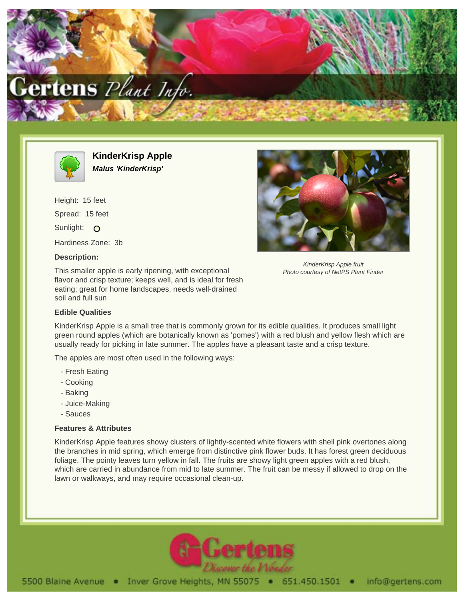



**KinderKrisp Apple Malus 'KinderKrisp'**

Height: 15 feet Spread: 15 feet Sunlight: O Hardiness Zone: 3b

## **Description:**

This smaller apple is early ripening, with exceptional flavor and crisp texture; keeps well, and is ideal for fresh eating; great for home landscapes, needs well-drained soil and full sun

## **Edible Qualities**



KinderKrisp Apple fruit Photo courtesy of NetPS Plant Finder

KinderKrisp Apple is a small tree that is commonly grown for its edible qualities. It produces small light green round apples (which are botanically known as 'pomes') with a red blush and yellow flesh which are usually ready for picking in late summer. The apples have a pleasant taste and a crisp texture.

The apples are most often used in the following ways:

- Fresh Eating
- Cooking
- Baking
- Juice-Making
- Sauces

## **Features & Attributes**

KinderKrisp Apple features showy clusters of lightly-scented white flowers with shell pink overtones along the branches in mid spring, which emerge from distinctive pink flower buds. It has forest green deciduous foliage. The pointy leaves turn yellow in fall. The fruits are showy light green apples with a red blush, which are carried in abundance from mid to late summer. The fruit can be messy if allowed to drop on the lawn or walkways, and may require occasional clean-up.